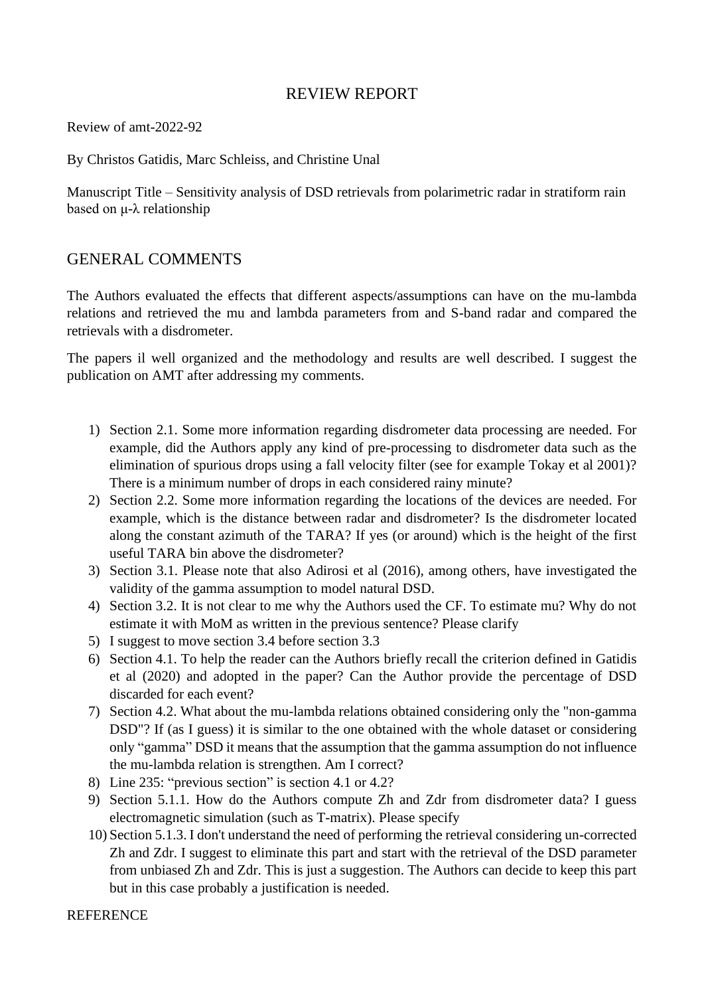## REVIEW REPORT

Review of amt-2022-92

By Christos Gatidis, Marc Schleiss, and Christine Unal

Manuscript Title – Sensitivity analysis of DSD retrievals from polarimetric radar in stratiform rain based on μ-λ relationship

## GENERAL COMMENTS

The Authors evaluated the effects that different aspects/assumptions can have on the mu-lambda relations and retrieved the mu and lambda parameters from and S-band radar and compared the retrievals with a disdrometer.

The papers il well organized and the methodology and results are well described. I suggest the publication on AMT after addressing my comments.

- 1) Section 2.1. Some more information regarding disdrometer data processing are needed. For example, did the Authors apply any kind of pre-processing to disdrometer data such as the elimination of spurious drops using a fall velocity filter (see for example Tokay et al 2001)? There is a minimum number of drops in each considered rainy minute?
- 2) Section 2.2. Some more information regarding the locations of the devices are needed. For example, which is the distance between radar and disdrometer? Is the disdrometer located along the constant azimuth of the TARA? If yes (or around) which is the height of the first useful TARA bin above the disdrometer?
- 3) Section 3.1. Please note that also Adirosi et al (2016), among others, have investigated the validity of the gamma assumption to model natural DSD.
- 4) Section 3.2. It is not clear to me why the Authors used the CF. To estimate mu? Why do not estimate it with MoM as written in the previous sentence? Please clarify
- 5) I suggest to move section 3.4 before section 3.3
- 6) Section 4.1. To help the reader can the Authors briefly recall the criterion defined in Gatidis et al (2020) and adopted in the paper? Can the Author provide the percentage of DSD discarded for each event?
- 7) Section 4.2. What about the mu-lambda relations obtained considering only the "non-gamma DSD"? If (as I guess) it is similar to the one obtained with the whole dataset or considering only "gamma" DSD it means that the assumption that the gamma assumption do not influence the mu-lambda relation is strengthen. Am I correct?
- 8) Line 235: "previous section" is section 4.1 or 4.2?
- 9) Section 5.1.1. How do the Authors compute Zh and Zdr from disdrometer data? I guess electromagnetic simulation (such as T-matrix). Please specify
- 10) Section 5.1.3. I don't understand the need of performing the retrieval considering un-corrected Zh and Zdr. I suggest to eliminate this part and start with the retrieval of the DSD parameter from unbiased Zh and Zdr. This is just a suggestion. The Authors can decide to keep this part but in this case probably a justification is needed.

## **REFERENCE**